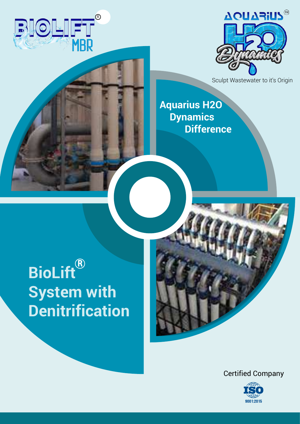



Sculpt Wastewater to it's Origin

**Aquarius H2O Dynamics Difference**

## **BioLift System with Denitrification** R

Certified Company

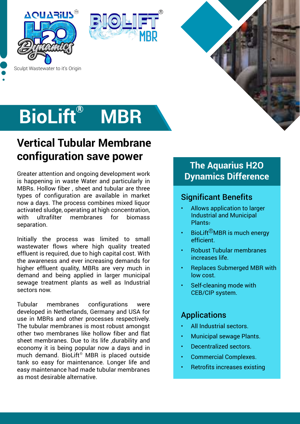





# **BioLift**® MBR

## **Vertical Tubular Membrane configuration save power**

Greater attention and ongoing development work is happening in waste Water and particularly in MBRs. Hollow fiber , sheet and tubular are three types of configuration are available in market now a days. The process combines mixed liquor activated sludge, operating at high concentration, with ultrafilter membranes for biomass separation.

Initially the process was limited to small wastewater flows where high quality treated effluent is required, due to high capital cost. With the awareness and ever increasing demands for higher effluent quality, MBRs are very much in demand and being applied in larger municipal sewage treatment plants as well as Industrial sectors now.

Tubular membranes configurations were developed in Netherlands, Germany and USA for use in MBRs and other processes respectively. The tubular membranes is most robust amongst other two membranes like hollow fiber and flat sheet membranes. Due to its life ,durability and economy it is being popular now a days and in much demand. BioLift® MBR is placed outside tank so easy for maintenance. Longer life and easy maintenance had made tubular membranes as most desirable alternative.

#### **The Aquarius H2O Dynamics Difference**

#### Significant Benefits

- Allows application to larger Industrial and Municipal **Plants**
- BioLift ${}^{\textcircled{\tiny{\textregistered}}}$ MBR is much energy efficient.
- Robust Tubular membranes increases life.
- Replaces Submerged MBR with low cost.
- Self-cleaning mode with CEB/CIP system.

#### Applications

- All Industrial sectors.
- Municipal sewage Plants.
- Decentralized sectors.
- Commercial Complexes.
- Retrofits increases existing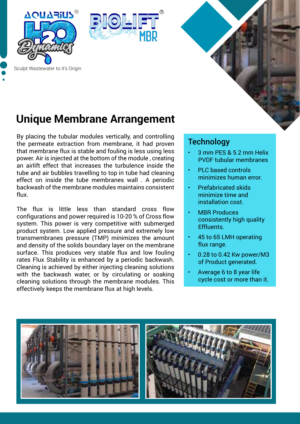



### **Unique Membrane Arrangement**

By placing the tubular modules vertically, and controlling the permeate extraction from membrane, it had proven that membrane flux is stable and fouling is less using less power. Air is injected at the bottom of the module , creating an airlift effect that increases the turbulence inside the tube and air bubbles travelling to top in tube had cleaning effect on inside the tube membranes wall . A periodic backwash of the membrane modules maintains consistent flux.

The flux is little less than standard cross flow configurations and power required is 10-20 % of Cross flow system. This power is very competitive with submerged product system. Low applied pressure and extremely low transmembranes pressure (TMP) minimizes the amount and density of the solids boundary layer on the membrane surface. This produces very stable flux and low fouling rates Flux Stability is enhanced by a periodic backwash. Cleaning is achieved by either injecting cleaning solutions with the backwash water, or by circulating or soaking cleaning solutions through the membrane modules. This effectively keeps the membrane flux at high levels.

#### **Technology**

- 3 mm PES & 5.2 mm Helix PVDF tubular membranes
- PLC based controls minimizes human error.
- Prefabricated skids minimize time and installation cost.
- **MBR Produces** consistently high quality Effluents.
- 45 to 65 LMH operating flux range.
- 0.28 to 0.42 Kw power/M3 of Product generated.
- Average 6 to 8 year life cycle cost or more than it.



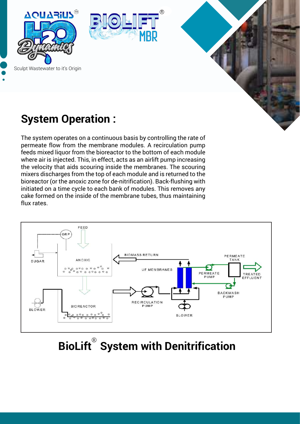





## **System Operation :**

The system operates on a continuous basis by controlling the rate of permeate flow from the membrane modules. A recirculation pump feeds mixed liquor from the bioreactor to the bottom of each module where air is injected. This, in effect, acts as an airlift pump increasing the velocity that aids scouring inside the membranes. The scouring mixers discharges from the top of each module and is returned to the bioreactor (or the anoxic zone for de-nitrification). Back-flushing with initiated on a time cycle to each bank of modules. This removes any cake formed on the inside of the membrane tubes, thus maintaining flux rates.



# **BioLift**® System with Denitrification